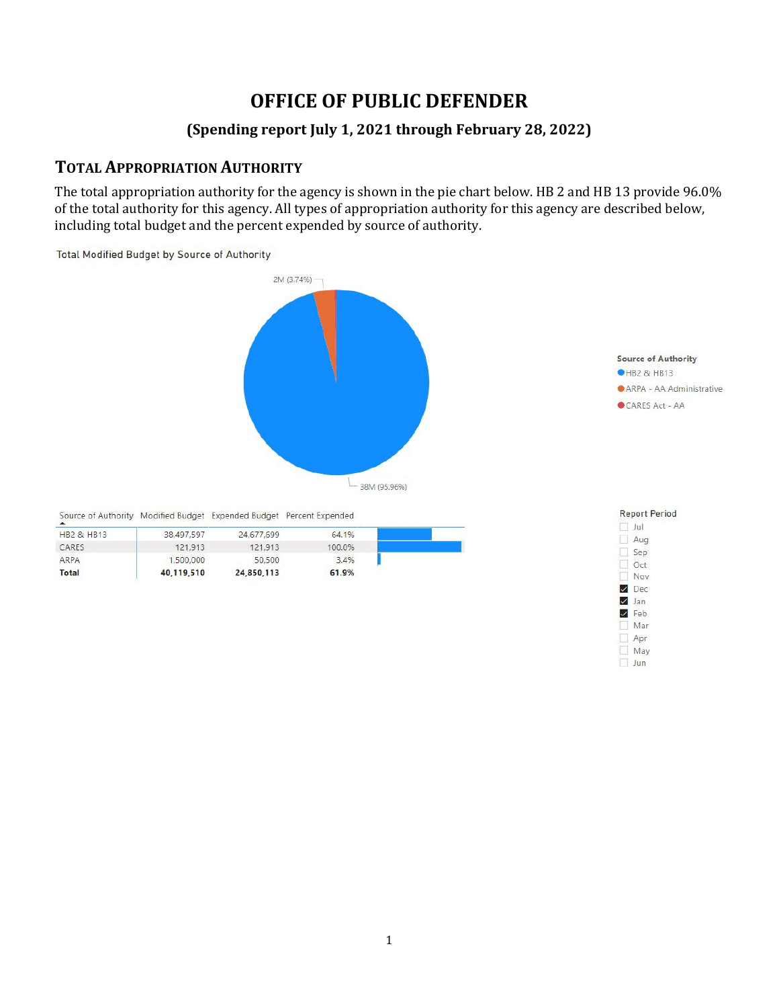# **OFFICE OF PUBLIC DEFENDER**

#### **(Spending report July 1, 2021 through February 28, 2022)**

#### **TOTAL APPROPRIATION AUTHORITY**

The total appropriation authority for the agency is shown in the pie chart below. HB 2 and HB 13 provide 96.0% of the total authority for this agency. All types of appropriation authority for this agency are described below, including total budget and the percent expended by source of authority.

**Total Modified Budget by Source of Authority** 

CARES

ARPA

**Total** 



Mar Apr  $\overline{\square}$  May  $\Box$  Jun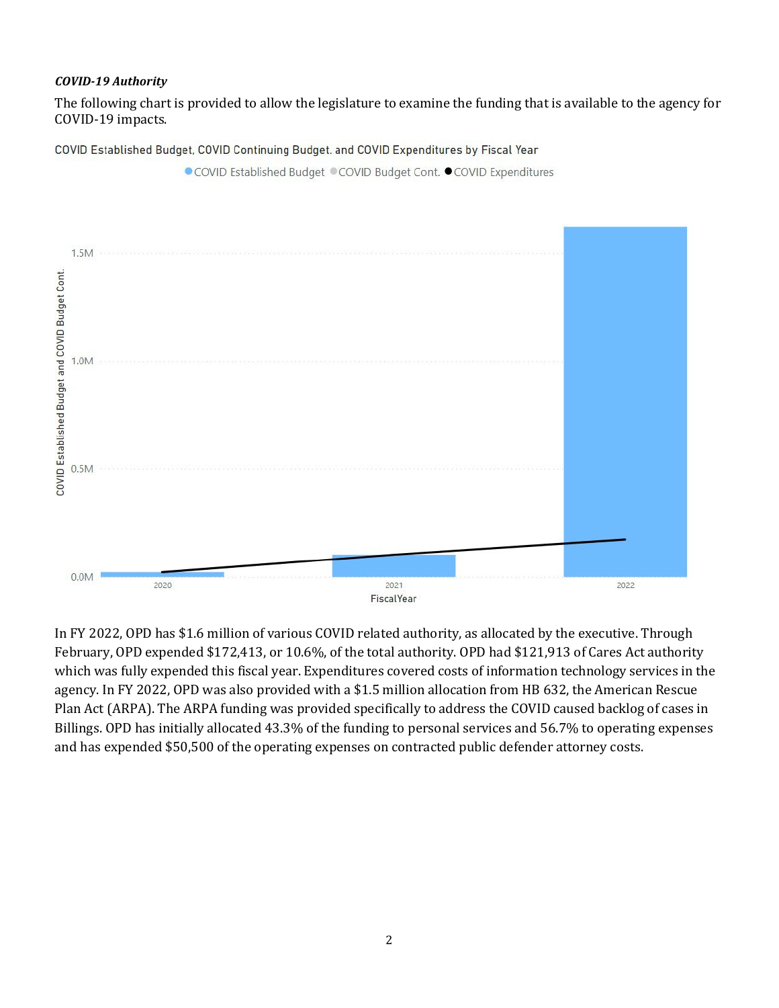#### *COVID-19 Authority*

The following chart is provided to allow the legislature to examine the funding that is available to the agency for COVID-19 impacts.

COVID Established Budget, COVID Continuing Budget. and COVID Expenditures by Fiscal Year



In FY 2022, OPD has \$1.6 million of various COVID related authority, as allocated by the executive. Through February, OPD expended \$172,413, or 10.6%, of the total authority. OPD had \$121,913 of Cares Act authority which was fully expended this fiscal year. Expenditures covered costs of information technology services in the agency. In FY 2022, OPD was also provided with a \$1.5 million allocation from HB 632, the American Rescue Plan Act (ARPA). The ARPA funding was provided specifically to address the COVID caused backlog of cases in Billings. OPD has initially allocated 43.3% of the funding to personal services and 56.7% to operating expenses and has expended \$50,500 of the operating expenses on contracted public defender attorney costs.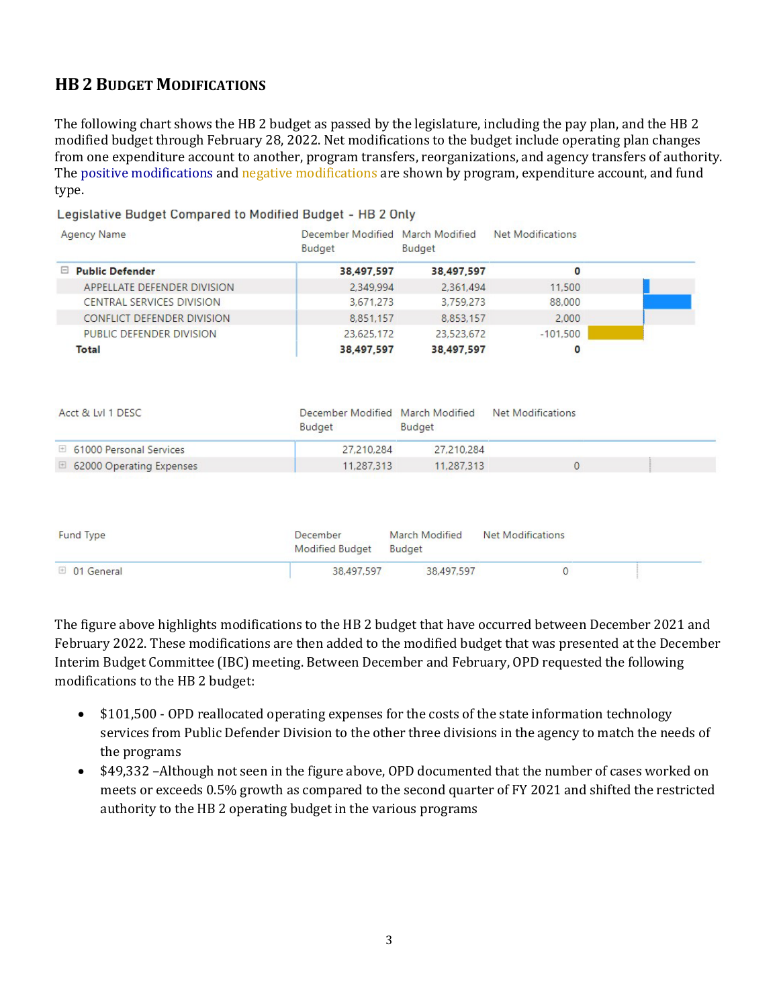## **HB 2 BUDGET MODIFICATIONS**

The following chart shows the HB 2 budget as passed by the legislature, including the pay plan, and the HB 2 modified budget through February 28, 2022. Net modifications to the budget include operating plan changes from one expenditure account to another, program transfers, reorganizations, and agency transfers of authority. The positive modifications and negative modifications are shown by program, expenditure account, and fund type.

| <b>Agency Name</b>                                                                                                   | December Modified March Modified<br>Budget | Budget         | <b>Net Modifications</b> |  |
|----------------------------------------------------------------------------------------------------------------------|--------------------------------------------|----------------|--------------------------|--|
| □ Public Defender                                                                                                    | 38,497,597                                 | 38,497,597     | 0                        |  |
| APPELLATE DEFENDER DIVISION                                                                                          | 2.349.994                                  | 2.361.494      | 11,500                   |  |
| CENTRAL SERVICES DIVISION                                                                                            | 3,671,273                                  | 3,759,273      | 88,000                   |  |
| <b>CONFLICT DEFENDER DIVISION</b>                                                                                    | 8,851,157                                  | 8,853,157      | 2,000                    |  |
| PUBLIC DEFENDER DIVISION                                                                                             | 23.625.172                                 | 23,523,672     | $-101,500$               |  |
| <b>Total</b>                                                                                                         | 38,497,597                                 | 38,497,597     | $\Omega$                 |  |
| Acct & Lvl 1 DESC                                                                                                    | December Modified March Modified           |                | <b>Net Modifications</b> |  |
|                                                                                                                      | Budget                                     | Budget         |                          |  |
| 61000 Personal Services                                                                                              | 27.210.284                                 | 27,210,284     |                          |  |
| 62000 Operating Expenses<br>$\begin{array}{c} \begin{array}{c} \begin{array}{c} \end{array} \end{array} \end{array}$ | 11,287,313                                 | 11,287.313     | $\mathbf{0}$             |  |
| <b>Fund Type</b>                                                                                                     | December                                   | March Modified | <b>Net Modifications</b> |  |
|                                                                                                                      | <b>Modified Budget</b>                     | Budget         |                          |  |

Legislative Budget Compared to Modified Budget - HB 2 Only

The figure above highlights modifications to the HB 2 budget that have occurred between December 2021 and February 2022. These modifications are then added to the modified budget that was presented at the December Interim Budget Committee (IBC) meeting. Between December and February, OPD requested the following modifications to the HB 2 budget:

- \$101,500 OPD reallocated operating expenses for the costs of the state information technology services from Public Defender Division to the other three divisions in the agency to match the needs of the programs
- \$49,332 –Although not seen in the figure above, OPD documented that the number of cases worked on meets or exceeds 0.5% growth as compared to the second quarter of FY 2021 and shifted the restricted authority to the HB 2 operating budget in the various programs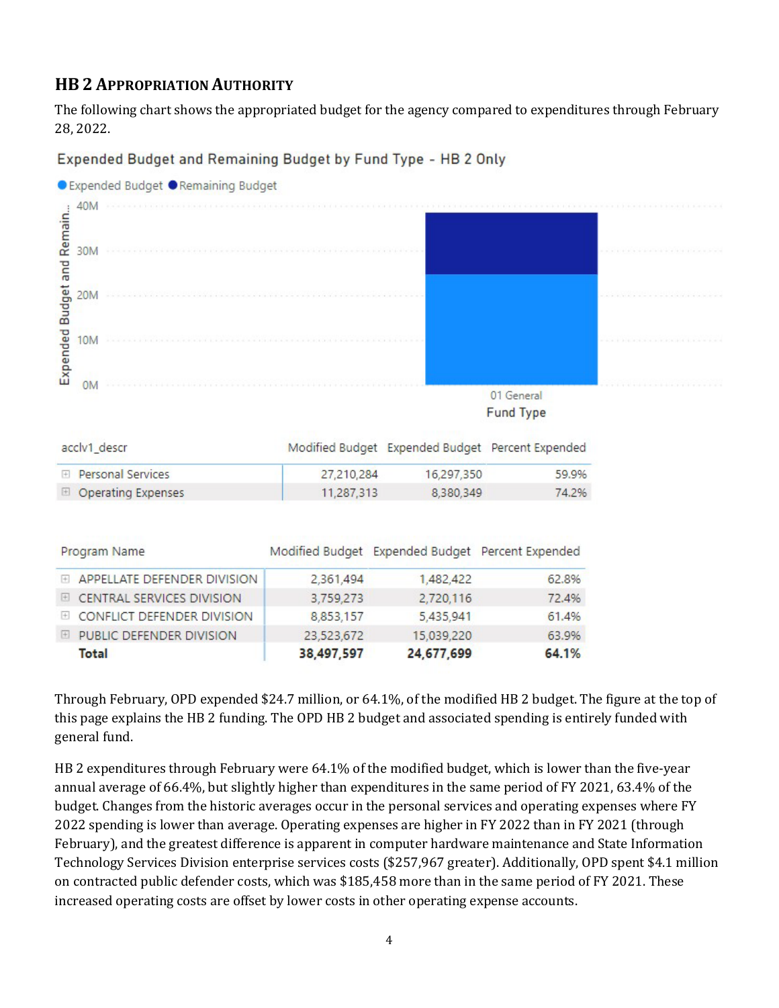## **HB 2 APPROPRIATION AUTHORITY**

The following chart shows the appropriated budget for the agency compared to expenditures through February 28, 2022.

Expended Budget and Remaining Budget by Fund Type - HB 2 Only



acclv1\_descr Modified Budget Expended Budget Percent Expended **El Personal Services** 27,210,284 16,297,350 59.9% **El Operating Expenses** 11,287,313 8,380,349 74.2%

| Program Name                  |            | Modified Budget Expended Budget Percent Expended |       |
|-------------------------------|------------|--------------------------------------------------|-------|
| E APPELLATE DEFENDER DIVISION | 2,361,494  | 1,482,422                                        | 62.8% |
| E CENTRAL SERVICES DIVISION   | 3,759,273  | 2,720,116                                        | 72.4% |
| E CONFLICT DEFENDER DIVISION  | 8,853,157  | 5,435,941                                        | 61.4% |
| E PUBLIC DEFENDER DIVISION    | 23,523,672 | 15,039,220                                       | 63.9% |
| Total                         | 38,497,597 | 24,677,699                                       | 64.1% |

Through February, OPD expended \$24.7 million, or 64.1%, of the modified HB 2 budget. The figure at the top of this page explains the HB 2 funding. The OPD HB 2 budget and associated spending is entirely funded with general fund.

HB 2 expenditures through February were 64.1% of the modified budget, which is lower than the five-year annual average of 66.4%, but slightly higher than expenditures in the same period of FY 2021, 63.4% of the budget. Changes from the historic averages occur in the personal services and operating expenses where FY 2022 spending is lower than average. Operating expenses are higher in FY 2022 than in FY 2021 (through February), and the greatest difference is apparent in computer hardware maintenance and State Information Technology Services Division enterprise services costs (\$257,967 greater). Additionally, OPD spent \$4.1 million on contracted public defender costs, which was \$185,458 more than in the same period of FY 2021. These increased operating costs are offset by lower costs in other operating expense accounts.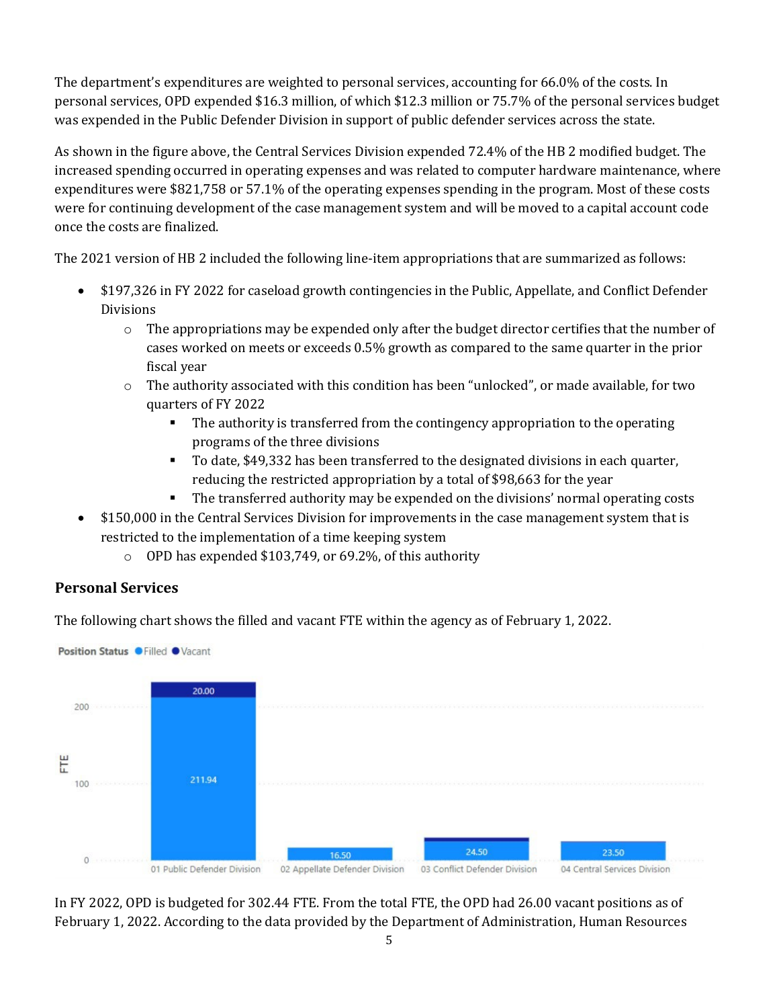The department's expenditures are weighted to personal services, accounting for 66.0% of the costs. In personal services, OPD expended \$16.3 million, of which \$12.3 million or 75.7% of the personal services budget was expended in the Public Defender Division in support of public defender services across the state.

As shown in the figure above, the Central Services Division expended 72.4% of the HB 2 modified budget. The increased spending occurred in operating expenses and was related to computer hardware maintenance, where expenditures were \$821,758 or 57.1% of the operating expenses spending in the program. Most of these costs were for continuing development of the case management system and will be moved to a capital account code once the costs are finalized.

The 2021 version of HB 2 included the following line-item appropriations that are summarized as follows:

- \$197,326 in FY 2022 for caseload growth contingencies in the Public, Appellate, and Conflict Defender Divisions
	- $\circ$  The appropriations may be expended only after the budget director certifies that the number of cases worked on meets or exceeds 0.5% growth as compared to the same quarter in the prior fiscal year
	- o The authority associated with this condition has been "unlocked", or made available, for two quarters of FY 2022
		- The authority is transferred from the contingency appropriation to the operating programs of the three divisions
		- To date, \$49,332 has been transferred to the designated divisions in each quarter, reducing the restricted appropriation by a total of \$98,663 for the year
		- The transferred authority may be expended on the divisions' normal operating costs
- \$150,000 in the Central Services Division for improvements in the case management system that is restricted to the implementation of a time keeping system
	- o OPD has expended \$103,749, or 69.2%, of this authority

## **Personal Services**

The following chart shows the filled and vacant FTE within the agency as of February 1, 2022.



In FY 2022, OPD is budgeted for 302.44 FTE. From the total FTE, the OPD had 26.00 vacant positions as of February 1, 2022. According to the data provided by the Department of Administration, Human Resources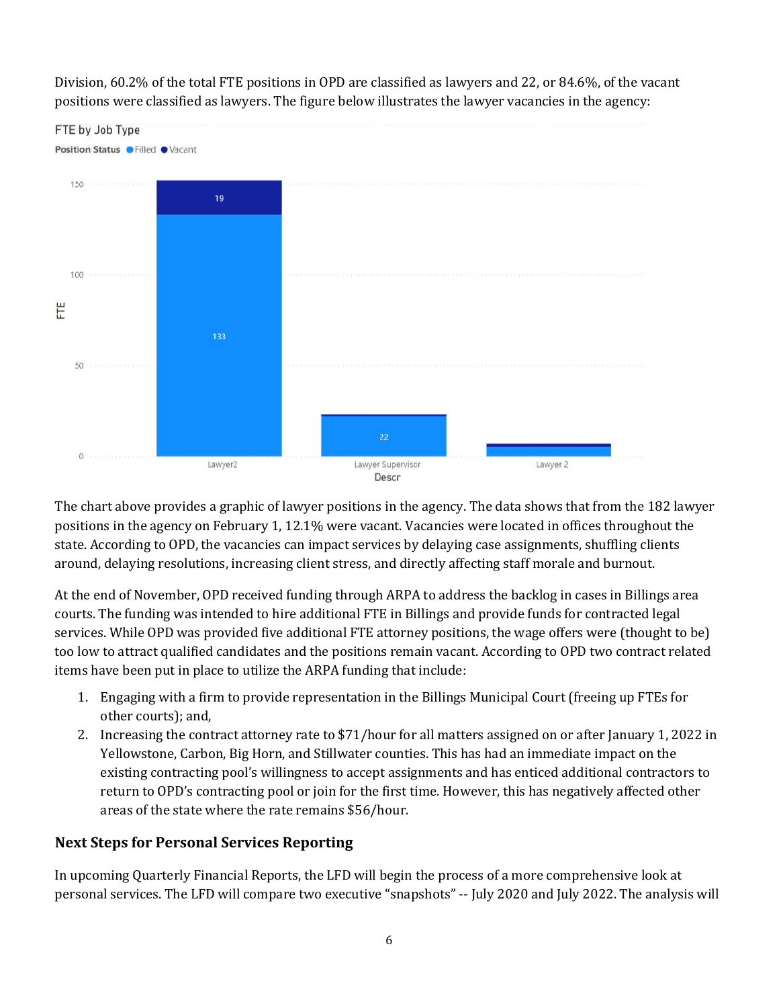

Division, 60.2% of the total FTE positions in OPD are classified as lawyers and 22, or 84.6%, of the vacant positions were classified as lawyers. The figure below illustrates the lawyer vacancies in the agency:

The chart above provides a graphic of lawyer positions in the agency. The data shows that from the 182 lawyer positions in the agency on February 1, 12.1% were vacant. Vacancies were located in offices throughout the state. According to OPD, the vacancies can impact services by delaying case assignments, shuffling clients around, delaying resolutions, increasing client stress, and directly affecting staff morale and burnout.

At the end of November, OPD received funding through ARPA to address the backlog in cases in Billings area courts. The funding was intended to hire additional FTE in Billings and provide funds for contracted legal services. While OPD was provided five additional FTE attorney positions, the wage offers were (thought to be) too low to attract qualified candidates and the positions remain vacant. According to OPD two contract related items have been put in place to utilize the ARPA funding that include:

- 1. Engaging with a firm to provide representation in the Billings Municipal Court (freeing up FTEs for other courts); and,
- 2. Increasing the contract attorney rate to \$71/hour for all matters assigned on or after January 1, 2022 in Yellowstone, Carbon, Big Horn, and Stillwater counties. This has had an immediate impact on the existing contracting pool's willingness to accept assignments and has enticed additional contractors to return to OPD's contracting pool or join for the first time. However, this has negatively affected other areas of the state where the rate remains \$56/hour.

#### **Next Steps for Personal Services Reporting**

In upcoming Quarterly Financial Reports, the LFD will begin the process of a more comprehensive look at personal services. The LFD will compare two executive "snapshots" -- July 2020 and July 2022. The analysis will